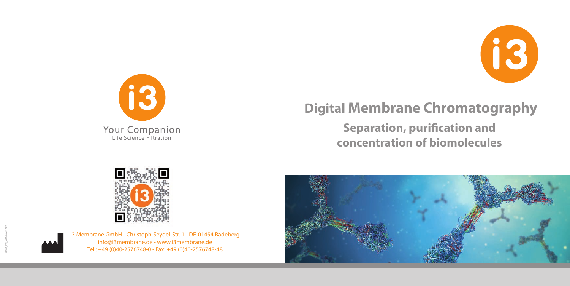



## **Digital Membrane Chromatography**

**Separation, purification and concentration of biomolecules** 



i3 Membrane GmbH - Christoph-Seydel-Str. 1 - DE-01454 Radeberg info@i3membrane.de - www.i3membrane.de Tel.: +49 (0)40-2576748-0 - Fax: +49 (0)40-2576748-48